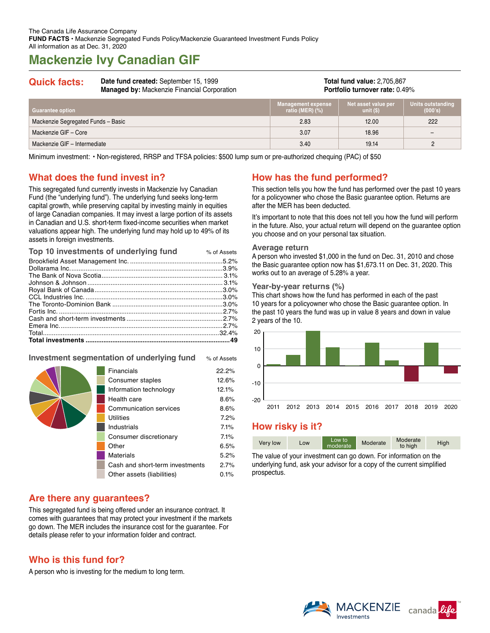# **Mackenzie Ivy Canadian GIF**

| Date fund created: September 15, 1999<br><b>Quick facts:</b><br><b>Managed by: Mackenzie Financial Corporation</b> |  | <b>Total fund value: 2,705,867</b><br><b>Portfolio turnover rate: 0.49%</b> |                                  |                                |
|--------------------------------------------------------------------------------------------------------------------|--|-----------------------------------------------------------------------------|----------------------------------|--------------------------------|
| <b>Guarantee option</b>                                                                                            |  | <b>Management expense</b><br>ratio (MER) $(\%)$                             | Net asset value per<br>unit (\$) | <b>Units outsta</b><br>(000's) |
| Mackenzie Segregated Funds - Basic                                                                                 |  | 2.83                                                                        | 12.00                            | 222                            |
| Mackenzie GIF - Core                                                                                               |  | 3.07                                                                        | 18.96                            |                                |

Mackenzie GIF – Intermediate 3.40 19.14 19.14 2

Minimum investment: • Non-registered, RRSP and TFSA policies: \$500 lump sum or pre-authorized chequing (PAC) of \$50

## **What does the fund invest in?**

This segregated fund currently invests in Mackenzie Ivy Canadian Fund (the "underlying fund"). The underlying fund seeks long-term capital growth, while preserving capital by investing mainly in equities of large Canadian companies. It may invest a large portion of its assets in Canadian and U.S. short-term fixed-income securities when market valuations appear high. The underlying fund may hold up to 49% of its assets in foreign investments.

| Top 10 investments of underlying fund | % of Assets |
|---------------------------------------|-------------|
|                                       |             |
|                                       |             |
|                                       |             |
|                                       |             |
|                                       |             |
|                                       |             |
|                                       |             |
|                                       |             |
|                                       |             |
|                                       |             |
|                                       |             |
|                                       |             |

## **Investment segmentation of underlying fund** % of Assets

| Financials                      | 22.2% |
|---------------------------------|-------|
| Consumer staples                | 12.6% |
| Information technology          | 12.1% |
| Health care                     | 8.6%  |
| Communication services          | 8.6%  |
| <b>Utilities</b>                | 7.2%  |
| <b>Industrials</b>              | 7.1%  |
| Consumer discretionary          | 7.1%  |
| Other                           | 6.5%  |
| Materials                       | 5.2%  |
| Cash and short-term investments | 2.7%  |
| Other assets (liabilities)      | 0.1%  |
|                                 |       |

## **Are there any guarantees?**

This segregated fund is being offered under an insurance contract. It comes with guarantees that may protect your investment if the markets go down. The MER includes the insurance cost for the guarantee. For details please refer to your information folder and contract.

## **Who is this fund for?**

A person who is investing for the medium to long term.

## **How has the fund performed?**

This section tells you how the fund has performed over the past 10 years for a policyowner who chose the Basic guarantee option. Returns are after the MER has been deducted.

ndinc

It's important to note that this does not tell you how the fund will perform in the future. Also, your actual return will depend on the guarantee option you choose and on your personal tax situation.

#### **Average return**

A person who invested \$1,000 in the fund on Dec. 31, 2010 and chose the Basic guarantee option now has \$1,673.11 on Dec. 31, 2020. This works out to an average of 5.28% a year.

#### **Year-by-year returns (%)**

This chart shows how the fund has performed in each of the past 10 years for a policyowner who chose the Basic guarantee option. In the past 10 years the fund was up in value 8 years and down in value 2 years of the 10.



## **How risky is it?**

| Moderate<br>Low to<br>Moderate<br>High<br>Very low<br>LOW<br>moderate<br>to high |
|----------------------------------------------------------------------------------|
|----------------------------------------------------------------------------------|

The value of your investment can go down. For information on the underlying fund, ask your advisor for a copy of the current simplified prospectus.